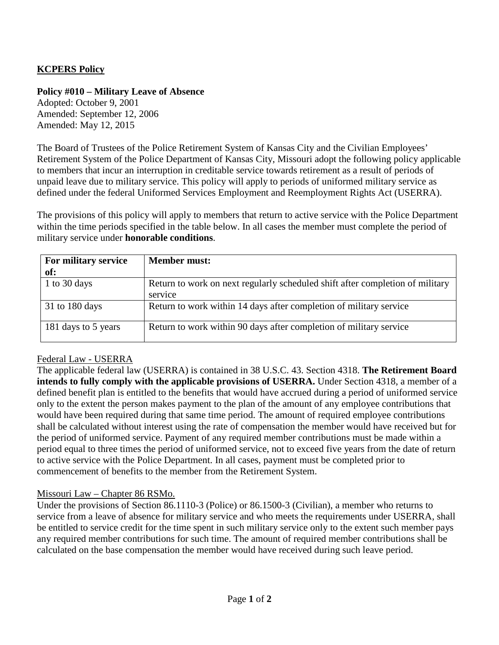# **KCPERS Policy**

### **Policy #010 – Military Leave of Absence**

Adopted: October 9, 2001 Amended: September 12, 2006 Amended: May 12, 2015

The Board of Trustees of the Police Retirement System of Kansas City and the Civilian Employees' Retirement System of the Police Department of Kansas City, Missouri adopt the following policy applicable to members that incur an interruption in creditable service towards retirement as a result of periods of unpaid leave due to military service. This policy will apply to periods of uniformed military service as defined under the federal Uniformed Services Employment and Reemployment Rights Act (USERRA).

The provisions of this policy will apply to members that return to active service with the Police Department within the time periods specified in the table below. In all cases the member must complete the period of military service under **honorable conditions**.

| For military service<br>of: | <b>Member must:</b>                                                                      |
|-----------------------------|------------------------------------------------------------------------------------------|
| 1 to 30 days                | Return to work on next regularly scheduled shift after completion of military<br>service |
| $31$ to 180 days            | Return to work within 14 days after completion of military service                       |
| 181 days to 5 years         | Return to work within 90 days after completion of military service                       |

### Federal Law - USERRA

The applicable federal law (USERRA) is contained in 38 U.S.C. 43. Section 4318. **The Retirement Board intends to fully comply with the applicable provisions of USERRA.** Under Section 4318, a member of a defined benefit plan is entitled to the benefits that would have accrued during a period of uniformed service only to the extent the person makes payment to the plan of the amount of any employee contributions that would have been required during that same time period. The amount of required employee contributions shall be calculated without interest using the rate of compensation the member would have received but for the period of uniformed service. Payment of any required member contributions must be made within a period equal to three times the period of uniformed service, not to exceed five years from the date of return to active service with the Police Department. In all cases, payment must be completed prior to commencement of benefits to the member from the Retirement System.

#### Missouri Law – Chapter 86 RSMo.

Under the provisions of Section 86.1110-3 (Police) or 86.1500-3 (Civilian), a member who returns to service from a leave of absence for military service and who meets the requirements under USERRA, shall be entitled to service credit for the time spent in such military service only to the extent such member pays any required member contributions for such time. The amount of required member contributions shall be calculated on the base compensation the member would have received during such leave period.